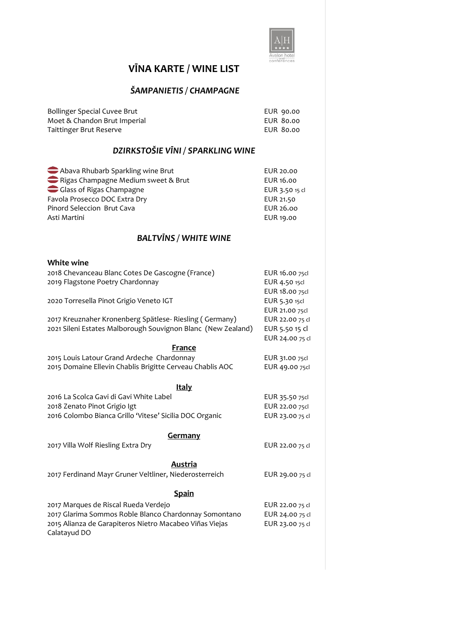

# **VĪNA KARTE / WINE LIST**

#### *ŠAMPANIETIS / CHAMPAGNE*

| Bollinger Special Cuvee Brut | EUR 90.00 |
|------------------------------|-----------|
| Moet & Chandon Brut Imperial | EUR 80.00 |
| Taittinger Brut Reserve      | EUR 80.00 |

## *DZIRKSTOŠIE VĪNI / SPARKLING WINE*

| Abava Rhubarb Sparkling wine Brut   | EUR 20.00      |
|-------------------------------------|----------------|
| Rigas Champagne Medium sweet & Brut | EUR 16.00      |
| Glass of Rigas Champagne            | EUR 3.50 15 cl |
| Favola Prosecco DOC Extra Dry       | EUR 21.50      |
| Pinord Seleccion Brut Cava          | EUR 26.00      |
| Asti Martini                        | EUR 19.00      |
|                                     |                |

#### *BALTVĪNS / WHITE WINE*

| <b>White wine</b>                                            |                 |
|--------------------------------------------------------------|-----------------|
| 2018 Chevanceau Blanc Cotes De Gascogne (France)             | EUR 16.00 75cl  |
| 2019 Flagstone Poetry Chardonnay                             | EUR 4.50 15cl   |
|                                                              | EUR 18.00 75cl  |
| 2020 Torresella Pinot Grigio Veneto IGT                      | EUR 5.30 15cl   |
|                                                              | EUR 21.00 75cl  |
| 2017 Kreuznaher Kronenberg Spätlese- Riesling (Germany)      | EUR 22.00 75 cl |
| 2021 Sileni Estates Malborough Souvignon Blanc (New Zealand) | EUR 5.50 15 cl  |
|                                                              | EUR 24.00 75 cl |
| France                                                       |                 |
| 2015 Louis Latour Grand Ardeche Chardonnay                   | EUR 31.00 75cl  |
| 2015 Domaine Ellevin Chablis Brigitte Cerveau Chablis AOC    | EUR 49.00 75cl  |
|                                                              |                 |
| <b>Italy</b>                                                 |                 |
| 2016 La Scolca Gavi di Gavi White Label                      | EUR 35.50 75cl  |
| 2018 Zenato Pinot Grigio Igt                                 | EUR 22.00 75cl  |
| 2016 Colombo Bianca Grillo 'Vitese' Sicilia DOC Organic      | EUR 23.00 75 cl |
|                                                              |                 |
| <b>Germany</b>                                               |                 |
| 2017 Villa Wolf Riesling Extra Dry                           | EUR 22.00 75 cl |
|                                                              |                 |
| Austria                                                      |                 |
| 2017 Ferdinand Mayr Gruner Veltliner, Niederosterreich       | EUR 29.00 75 cl |
|                                                              |                 |
| <b>Spain</b>                                                 |                 |
| 2017 Marques de Riscal Rueda Verdejo                         | EUR 22.00 75 cl |
| 2017 Glarima Sommos Roble Blanco Chardonnay Somontano        | EUR 24.00 75 cl |
| 2015 Alianza de Garapiteros Nietro Macabeo Viñas Viejas      | EUR 23.00 75 cl |
| Calatayud DO                                                 |                 |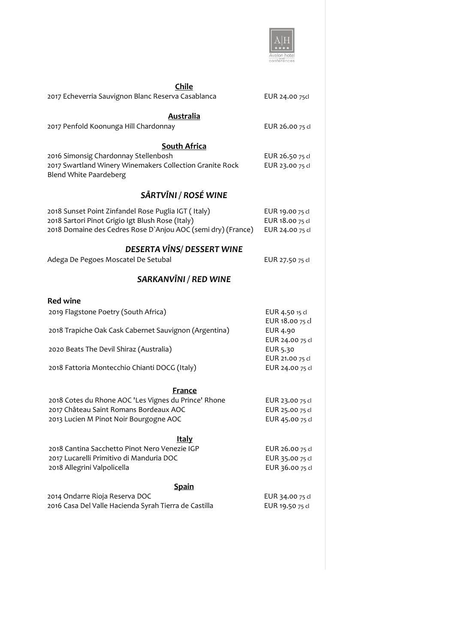

| <b>Chile</b><br>2017 Echeverria Sauvignon Blanc Reserva Casablanca                                                                                                      | EUR 24.00 75cl                                        |
|-------------------------------------------------------------------------------------------------------------------------------------------------------------------------|-------------------------------------------------------|
| <b>Australia</b>                                                                                                                                                        |                                                       |
| 2017 Penfold Koonunga Hill Chardonnay                                                                                                                                   | EUR 26.00 75 cl                                       |
| <b>South Africa</b><br>2016 Simonsig Chardonnay Stellenbosh<br>2017 Swartland Winery Winemakers Collection Granite Rock<br><b>Blend White Paardeberg</b>                | EUR 26.50 75 cl<br>EUR 23.00 75 cl                    |
| SĀRTVĪNI / ROSÉ WINE                                                                                                                                                    |                                                       |
| 2018 Sunset Point Zinfandel Rose Puglia IGT (Italy)<br>2018 Sartori Pinot Grigio Igt Blush Rose (Italy)<br>2018 Domaine des Cedres Rose D'Anjou AOC (semi dry) (France) | EUR 19.00 75 cl<br>EUR 18.00 75 cl<br>EUR 24.00 75 cl |
| DESERTA VĪNS/ DESSERT WINE<br>Adega De Pegoes Moscatel De Setubal                                                                                                       | EUR 27.50 75 cl                                       |
| <b>SARKANVINI / RED WINE</b>                                                                                                                                            |                                                       |
| <b>Red wine</b>                                                                                                                                                         |                                                       |
| 2019 Flagstone Poetry (South Africa)                                                                                                                                    | EUR 4.50 15 cl                                        |
| 2018 Trapiche Oak Cask Cabernet Sauvignon (Argentina)                                                                                                                   | EUR 18.00 75 cl<br>EUR 4.90<br>EUR 24.00 75 cl        |
| 2020 Beats The Devil Shiraz (Australia)                                                                                                                                 | EUR 5.30<br>EUR 21.00 75 cl                           |
| 2018 Fattoria Montecchio Chianti DOCG (Italy)                                                                                                                           | EUR 24.00 75 cl                                       |
| <b>France</b>                                                                                                                                                           |                                                       |
| 2018 Cotes du Rhone AOC 'Les Vignes du Prince' Rhone<br>2017 Château Saint Romans Bordeaux AOC<br>2013 Lucien M Pinot Noir Bourgogne AOC                                | EUR 23.00 75 cl<br>EUR 25.00 75 cl<br>EUR 45.00 75 cl |
| <b>Italy</b>                                                                                                                                                            |                                                       |
| 2018 Cantina Sacchetto Pinot Nero Venezie IGP<br>2017 Lucarelli Primitivo di Manduria DOC<br>2018 Allegrini Valpolicella                                                | EUR 26.00 75 cl<br>EUR 35.00 75 cl<br>EUR 36.00 75 cl |
|                                                                                                                                                                         |                                                       |
| <b>Spain</b><br>2014 Ondarre Rioja Reserva DOC<br>2016 Casa Del Valle Hacienda Syrah Tierra de Castilla                                                                 | EUR 34.00 75 cl<br>EUR 19.50 75 cl                    |
|                                                                                                                                                                         |                                                       |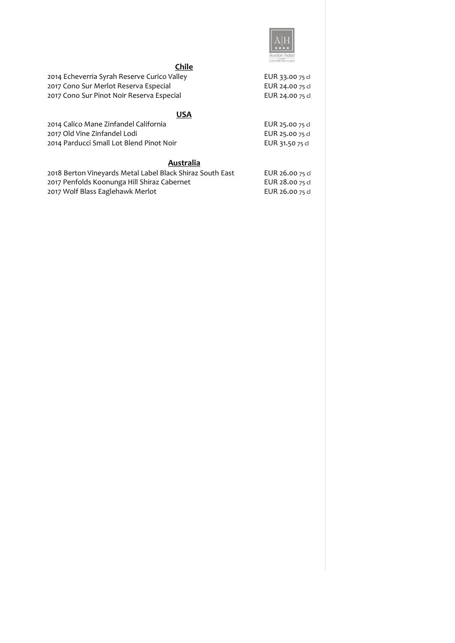

# **Chile**

| 2014 Echeverria Syrah Reserve Curico Valley | EUR 33.00 75 cl |
|---------------------------------------------|-----------------|
| 2017 Cono Sur Merlot Reserva Especial       | EUR 24.00 75 cl |
| 2017 Cono Sur Pinot Noir Reserva Especial   | EUR 24.00 75 cl |

#### **USA**

| 2014 Calico Mane Zinfandel California    | EUR 25.00 75 cl |
|------------------------------------------|-----------------|
| 2017 Old Vine Zinfandel Lodi             | EUR 25.00 75 cl |
| 2014 Parducci Small Lot Blend Pinot Noir | EUR 31.50 75 cl |

#### **Australia**

| 2018 Berton Vineyards Metal Label Black Shiraz South East | EUR 26.00 75 cl |
|-----------------------------------------------------------|-----------------|
| 2017 Penfolds Koonunga Hill Shiraz Cabernet               | EUR 28.00 75 cl |
| 2017 Wolf Blass Eaglehawk Merlot                          | EUR 26.00 75 cl |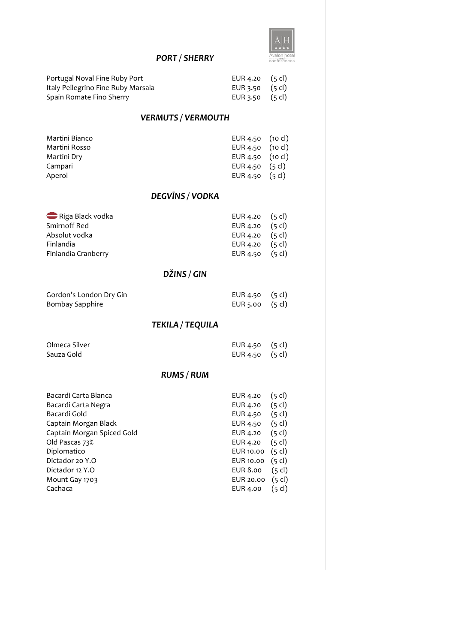

## *PORT / SHERRY*

| Portugal Noval Fine Ruby Port      | EUR 4.20 $(5 \text{ cl})$ |  |
|------------------------------------|---------------------------|--|
| Italy Pellegrino Fine Ruby Marsala | EUR 3.50 $(5 \text{ cl})$ |  |
| Spain Romate Fino Sherry           | EUR 3.50 $(5 \text{ cl})$ |  |

#### *VERMUTS / VERMOUTH*

| Martini Bianco | EUR $4.50$ (10 cl)         |  |
|----------------|----------------------------|--|
| Martini Rosso  | EUR 4.50 $(10 \text{ cl})$ |  |
| Martini Dry    | EUR 4.50 $(10 \text{ cl})$ |  |
| Campari        | EUR 4.50 $(5 \text{ cl})$  |  |
| Aperol         | EUR 4.50 $(5 \text{ cl})$  |  |

#### *DEGVĪNS / VODKA*

| Riga Black vodka    | EUR 4.20 $(5 \text{ cl})$ |  |
|---------------------|---------------------------|--|
| Smirnoff Red        | EUR 4.20 $(5 \text{ cl})$ |  |
| Absolut vodka       | EUR 4.20 $(5 \text{ cl})$ |  |
| Finlandia           | EUR 4.20 $(5 \text{ cl})$ |  |
| Finlandia Cranberry | EUR 4.50 $(5 \text{ cl})$ |  |

# *DŽINS / GIN*

| Gordon's London Dry Gin | EUR 4.50 (5 cl) |  |
|-------------------------|-----------------|--|
| Bombay Sapphire         | EUR 5.00 (5 cl) |  |

## *TEKILA / TEQUILA*

| Olmeca Silver | EUR $4.50$ $(5 \text{ cl})$ |  |
|---------------|-----------------------------|--|
| Sauza Gold    | EUR $4.50$ $(5 \text{ cl})$ |  |

## *RUMS / RUM*

| Bacardi Carta Blanca       | EUR 4.20        | (5 cl)           |
|----------------------------|-----------------|------------------|
| Bacardi Carta Negra        | EUR 4.20        | $(5 \text{ cl})$ |
| Bacardi Gold               | EUR 4.50        | $(5 \text{ cl})$ |
| Captain Morgan Black       | EUR 4.50        | $(5 \text{ cl})$ |
| Captain Morgan Spiced Gold | EUR 4.20        | $(5 \text{ cl})$ |
| Old Pascas 73%             | EUR 4.20        | $(5 \text{ cl})$ |
| Diplomatico                | EUR 10.00       | $(5 \text{ cl})$ |
| Dictador 20 Y.O            | EUR 10.00       | $(5 \text{ cl})$ |
| Dictador 12 Y.O            | <b>EUR 8.00</b> | $(5 \text{ cl})$ |
| Mount Gay 1703             | EUR 20.00       | $(5 \text{ cl})$ |
| Cachaca                    | <b>EUR 4.00</b> | (5 cl)           |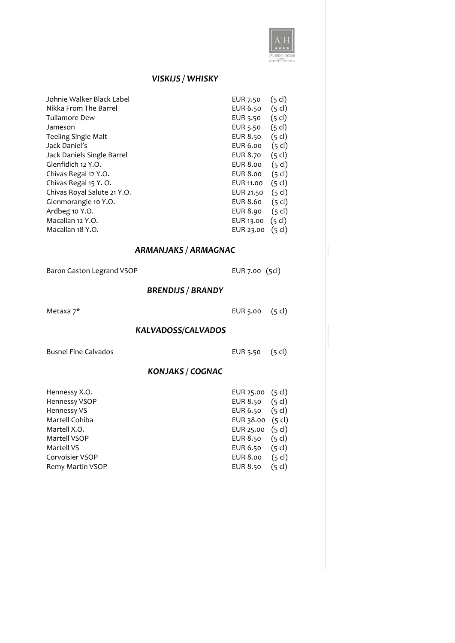

#### *VISKIJS / WHISKY*

| Johnie Walker Black Label<br>Nikka From The Barrel<br>Tullamore Dew<br>Jameson<br><b>Teeling Single Malt</b><br>Jack Daniel's<br>Jack Daniels Single Barrel<br>Glenfidich 12 Y.O.<br>Chivas Regal 12 Y.O.<br>Chivas Regal 15 Y.O.<br>Chivas Royal Salute 21 Y.O.<br>Glenmorangie 10 Y.O.<br>Ardbeg 10 Y.O.<br>Macallan 12 Y.O.<br>Macallan 18 Y.O. | $(5 \text{ cl})$<br>EUR 7.50<br>$(5 \text{ cl})$<br>EUR 6.50<br>$(5 \text{ cl})$<br>EUR 5.50<br>EUR 5.50<br>$(5 \text{ cl})$<br>EUR 8.50<br>$(5 \text{ cl})$<br>$(5 \text{ cl})$<br>EUR 6.00<br>$(5 \text{ cl})$<br>EUR 8.70<br>$(5 \text{ cl})$<br>EUR 8.00<br>$(5 \text{ cl})$<br>EUR 8.00<br>$(5 \text{ cl})$<br>EUR 11.00<br>$(5 \text{ cl})$<br>EUR 21.50<br>EUR 8.60<br>$(5 \text{ cl})$<br>$(5 \text{ cl})$<br>EUR 8.90<br>$(5 \text{ cl})$<br>EUR 13.00<br>EUR 23.00<br>$(5 \text{ cl})$ |
|----------------------------------------------------------------------------------------------------------------------------------------------------------------------------------------------------------------------------------------------------------------------------------------------------------------------------------------------------|--------------------------------------------------------------------------------------------------------------------------------------------------------------------------------------------------------------------------------------------------------------------------------------------------------------------------------------------------------------------------------------------------------------------------------------------------------------------------------------------------|
| <b>ARMANJAKS / ARMAGNAC</b>                                                                                                                                                                                                                                                                                                                        |                                                                                                                                                                                                                                                                                                                                                                                                                                                                                                  |
| Baron Gaston Legrand VSOP                                                                                                                                                                                                                                                                                                                          | EUR 7.00 (5cl)                                                                                                                                                                                                                                                                                                                                                                                                                                                                                   |
| <b>BRENDIJS / BRANDY</b>                                                                                                                                                                                                                                                                                                                           |                                                                                                                                                                                                                                                                                                                                                                                                                                                                                                  |
| Metaxa 7*                                                                                                                                                                                                                                                                                                                                          | $(5 \text{ cl})$<br>EUR 5.00                                                                                                                                                                                                                                                                                                                                                                                                                                                                     |
| <b>KALVADOSS/CALVADOS</b>                                                                                                                                                                                                                                                                                                                          |                                                                                                                                                                                                                                                                                                                                                                                                                                                                                                  |
| <b>Busnel Fine Calvados</b>                                                                                                                                                                                                                                                                                                                        | $(5 \text{ cl})$<br>EUR 5.50                                                                                                                                                                                                                                                                                                                                                                                                                                                                     |
| KONJAKS / COGNAC                                                                                                                                                                                                                                                                                                                                   |                                                                                                                                                                                                                                                                                                                                                                                                                                                                                                  |

| Hennessy X.O.    | EUR 25.00 $(5 cl)$         |                  |
|------------------|----------------------------|------------------|
| Hennessy VSOP    | EUR 8.50                   | $(5 \text{ cl})$ |
| Hennessy VS      | EUR 6.50                   | $(5 \text{ cl})$ |
| Martell Cohiba   | EUR 38.00 $(5 \text{ cl})$ |                  |
| Martell X.O.     | EUR 25.00 (5 cl)           |                  |
| Martell VSOP     | EUR 8.50                   | $(5 \text{ cl})$ |
| Martell VS       | EUR 6.50                   | $(5 \text{ cl})$ |
| Corvoisier VSOP  | <b>EUR 8.00</b>            | $(5 \text{ cl})$ |
| Remy Martin VSOP | <b>EUR 8.50</b>            | $(5 \text{ cl})$ |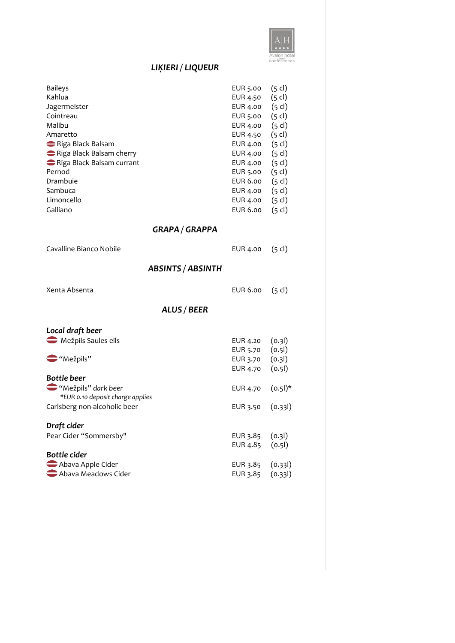

# *LIĶIERI / LIQUEUR*

| <b>Baileys</b><br>Kahlua<br>Jagermeister<br>Cointreau<br>Malibu<br>Amaretto<br>Riga Black Balsam     | EUR 5.00<br>EUR 4.50<br>EUR 4.00<br>EUR 5.00<br>EUR 4.00<br>EUR 4.50<br>EUR 4.00 | $(5 \text{ cl})$<br>$(5 \text{ cl})$<br>$(5$ cl)<br>$(5 \text{ cl})$<br>$(5 \text{ cl})$<br>$(5 \text{ cl})$<br>$(5 \text{ cl})$ |
|------------------------------------------------------------------------------------------------------|----------------------------------------------------------------------------------|----------------------------------------------------------------------------------------------------------------------------------|
| Riga Black Balsam cherry<br>Riga Black Balsam currant<br>Pernod<br>Drambuie<br>Sambuca<br>Limoncello | EUR 4.00<br>EUR 4.00<br>EUR 5.00<br>EUR 6.00<br>EUR 4.00<br>EUR 4.00             | $(5 \text{ cl})$<br>$(5 \text{ cl})$<br>$(5 \text{ cl})$<br>$(5 \text{ cl})$<br>$(5 \text{ cl})$<br>$(5 \text{ cl})$             |
| Galliano                                                                                             | <b>EUR 6.00</b>                                                                  | $(5 \text{ cl})$                                                                                                                 |
| <b>GRAPA / GRAPPA</b>                                                                                |                                                                                  |                                                                                                                                  |
| Cavalline Bianco Nobile                                                                              | EUR 4.00                                                                         | $(5 \text{ cl})$                                                                                                                 |
| <b>ABSINTS / ABSINTH</b>                                                                             |                                                                                  |                                                                                                                                  |
| Xenta Absenta                                                                                        | EUR 6.00                                                                         | $(5 \text{ cl})$                                                                                                                 |
| ALUS / BEER                                                                                          |                                                                                  |                                                                                                                                  |
| Local draft beer                                                                                     |                                                                                  |                                                                                                                                  |
| Mežpils Saules eils<br>$\bigcirc$ "Mežpils"                                                          | EUR 4.20<br>EUR 5.70<br>EUR 3.70                                                 | (0.3)<br>(0.51)<br>(0.3)                                                                                                         |
| <b>Bottle beer</b>                                                                                   | EUR 4.70                                                                         | (0.5)                                                                                                                            |
| "Mežpils" dark beer<br>*EUR 0.10 deposit charge applies                                              | EUR 4.70                                                                         | $(0.51)^*$                                                                                                                       |
| Carlsberg non-alcoholic beer                                                                         | EUR 3.50                                                                         | (0.33)                                                                                                                           |
| Draft cider<br>Pear Cider "Sommersby"<br><b>Bottle cider</b>                                         | EUR 3.85<br>EUR 4.85                                                             | (0.3)<br>(0.5)                                                                                                                   |
| Abava Apple Cider<br>Abava Meadows Cider                                                             | EUR 3.85<br>EUR 3.85                                                             | (0.33)<br>(0.33)                                                                                                                 |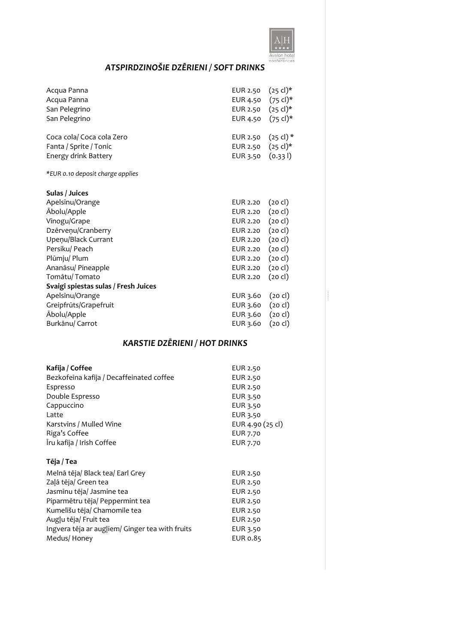

# *ATSPIRDZINOŠIE DZĒRIENI / SOFT DRINKS*

| Acqua Panna<br>Acqua Panna<br>San Pelegrino<br>San Pelegrino                | EUR 2.50<br>EUR 4.50<br>EUR 2.50<br>EUR 4.50 | $(25 \text{ cl})^*$<br>$(75 \text{ cl})^*$<br>$(25 \text{ cl})^*$<br>$(75 \text{ cl})^*$ |
|-----------------------------------------------------------------------------|----------------------------------------------|------------------------------------------------------------------------------------------|
| Coca cola/ Coca cola Zero<br>Fanta / Sprite / Tonic<br>Energy drink Battery | EUR 2.50<br>EUR 2.50<br>EUR 3.50             | $(25 \text{ cl})$ *<br>$(25 \text{ cl})^*$<br>(0.331)                                    |
| *EUR 0.10 deposit charge applies                                            |                                              |                                                                                          |
| Sulas / Juices                                                              |                                              |                                                                                          |
| Apelsinu/Orange                                                             | EUR 2.20                                     | $(20 \text{ cl})$                                                                        |
| Ābolu/Apple                                                                 | EUR 2.20                                     | $(20 \text{ cl})$                                                                        |
| Vīnogu/Grape                                                                | EUR 2.20                                     | $(20 \text{ cl})$                                                                        |
| Dzērveņu/Cranberry                                                          | EUR 2.20                                     | $(20 \text{ cl})$                                                                        |
| Upeņu/Black Currant                                                         | EUR 2.20                                     | $(20 \text{ cl})$                                                                        |
| Persiku/ Peach                                                              | EUR 2.20                                     | $(20 \text{ cl})$                                                                        |
| Plūmju/ Plum                                                                | EUR 2.20                                     | $(20 \text{ cl})$                                                                        |
| Ananāsu/ Pineapple                                                          | EUR 2.20                                     | $(20 \text{ cl})$                                                                        |
| Tomātu/Tomato                                                               | EUR 2.20                                     | $(20 \text{ cl})$                                                                        |
| Svaigi spiestas sulas / Fresh Juices                                        |                                              |                                                                                          |
| Apelsinu/Orange                                                             | EUR 3.60                                     | $(20 \text{ cl})$                                                                        |
| Greipfrūts/Grapefruit                                                       | EUR 3.60                                     | $(20 \text{ cl})$                                                                        |
| Ābolu/Apple                                                                 | EUR 3.60                                     | $(20 \text{ cl})$                                                                        |
| Burkānu/ Carrot                                                             | EUR 3.60                                     | (20 cl)                                                                                  |

## *KARSTIE DZĒRIENI / HOT DRINKS*

| Kafija / Coffee                          | EUR 2.50         |
|------------------------------------------|------------------|
| Bezkofeina kafija / Decaffeinated coffee | EUR 2.50         |
| Espresso                                 | EUR 2.50         |
| Double Espresso                          | EUR 3.50         |
| Cappuccino                               | EUR 3.50         |
| Latte                                    | EUR 3.50         |
| Karstvīns / Mulled Wine                  | EUR 4.90 (25 cl) |
| Riga's Coffee                            | <b>EUR 7.70</b>  |
| Īru kafija / Irish Coffee                | EUR 7.70         |
| Tēja / Tea                               |                  |

| .                                               |          |
|-------------------------------------------------|----------|
| Melnā tēja/ Black tea/ Earl Grey                | EUR 2.50 |
| Zaļā tēja/ Green tea                            | EUR 2.50 |
| Jasmīnu tēja/ Jasmine tea                       | EUR 2.50 |
| Piparmētru tēja/ Peppermint tea                 | EUR 2.50 |
| Kumelīšu tēja/ Chamomile tea                    | EUR 2.50 |
| Augļu tēja/ Fruit tea                           | EUR 2.50 |
| Ingvera tēja ar augļiem/ Ginger tea with fruits | EUR 3.50 |
| Medus/Honey                                     | EUR 0.85 |
|                                                 |          |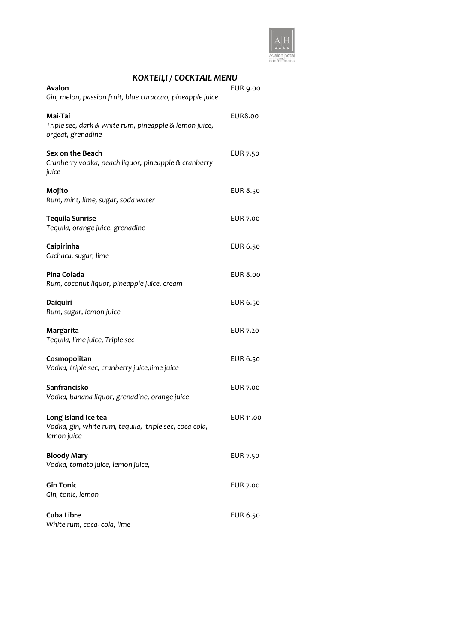

| KOKTEIĻI / COCKTAIL MENU                                                                     |                  |
|----------------------------------------------------------------------------------------------|------------------|
| Avalon<br>Gin, melon, passion fruit, blue curaccao, pineapple juice                          | EUR 9.00         |
| Mai-Tai<br>Triple sec, dark & white rum, pineapple & lemon juice,<br>orgeat, grenadine       | EUR8.00          |
| Sex on the Beach<br>Cranberry vodka, peach liquor, pineapple & cranberry<br>juice            | EUR 7.50         |
| Mojito<br>Rum, mint, lime, sugar, soda water                                                 | <b>EUR 8.50</b>  |
| <b>Tequila Sunrise</b><br>Tequila, orange juice, grenadine                                   | EUR 7.00         |
| Caipirinha<br>Cachaca, sugar, lime                                                           | EUR 6.50         |
| Pina Colada<br>Rum, coconut liquor, pineapple juice, cream                                   | <b>EUR 8.00</b>  |
| Daiquiri<br>Rum, sugar, lemon juice                                                          | EUR 6.50         |
| Margarita<br>Tequila, lime juice, Triple sec                                                 | EUR 7.20         |
| Cosmopolitan<br>Vodka, triple sec, cranberry juice, lime juice                               | EUR 6.50         |
| Sanfrancisko<br>Vodka, banana liquor, grenadine, orange juice                                | <b>EUR 7.00</b>  |
| Long Island Ice tea<br>Vodka, gin, white rum, tequila, triple sec, coca-cola,<br>lemon juice | <b>EUR 11.00</b> |
| <b>Bloody Mary</b><br>Vodka, tomato juice, lemon juice,                                      | EUR 7.50         |
| <b>Gin Tonic</b><br>Gin, tonic, lemon                                                        | EUR 7.00         |
| <b>Cuba Libre</b><br>White rum, coca-cola, lime                                              | EUR 6.50         |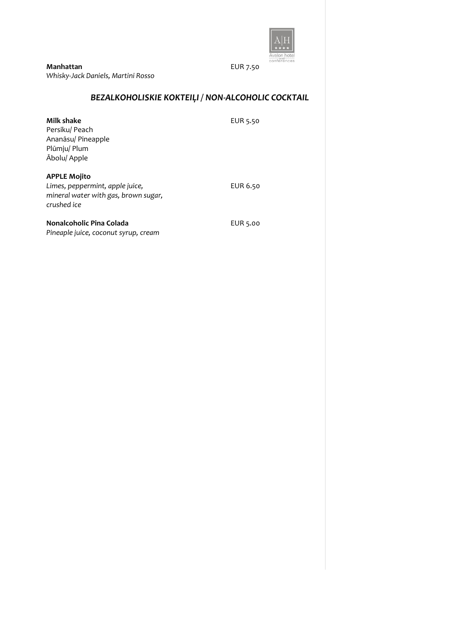

**Manhattan** EUR 7.50 *Whisky-Jack Daniels, Martini Rosso*

## *BEZALKOHOLISKIE KOKTEIĻI / NON-ALCOHOLIC COCKTAIL*

| Milk shake<br>Persiku/ Peach<br>Ananāsu/ Pineapple<br>Plūmju/ Plum<br>Ābolu/ Apple                            | EUR 5.50 |
|---------------------------------------------------------------------------------------------------------------|----------|
| <b>APPLE Mojito</b><br>Limes, peppermint, apple juice,<br>mineral water with gas, brown sugar,<br>crushed ice | EUR 6.50 |
| Nonalcoholic Pina Colada<br>Pineaple juice, coconut syrup, cream                                              | EUR 5.00 |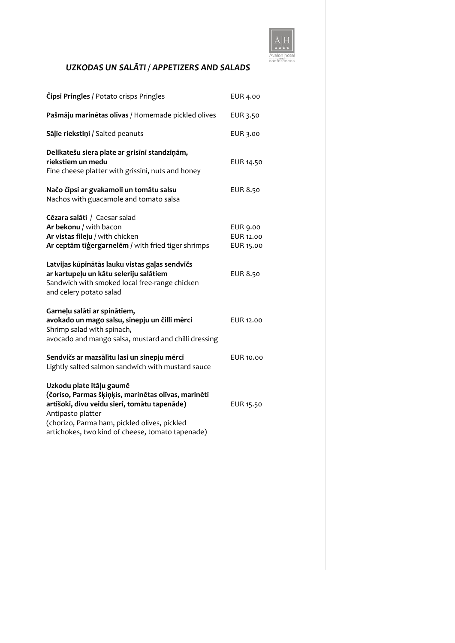

## *UZKODAS UN SALĀTI / APPETIZERS AND SALADS*

| <b>Čipsi Pringles / Potato crisps Pringles</b>                                                                                                                                                                                                           | <b>EUR 4.00</b>                           |
|----------------------------------------------------------------------------------------------------------------------------------------------------------------------------------------------------------------------------------------------------------|-------------------------------------------|
| Pašmāju marinētas olīvas / Homemade pickled olives                                                                                                                                                                                                       | EUR 3.50                                  |
| Salie riekstiņi / Salted peanuts                                                                                                                                                                                                                         | EUR 3.00                                  |
| Delikatešu siera plate ar grisīni standziņām,<br>riekstiem un medu<br>Fine cheese platter with grissini, nuts and honey                                                                                                                                  | EUR 14.50                                 |
| Načo čipsi ar gvakamoli un tomātu salsu<br>Nachos with guacamole and tomato salsa                                                                                                                                                                        | <b>EUR 8.50</b>                           |
| Cēzara salāti / Caesar salad<br>Ar bekonu / with bacon<br>Ar vistas fileju / with chicken<br>Ar ceptām tīģergarnelēm / with fried tiger shrimps                                                                                                          | <b>EUR 9.00</b><br>EUR 12.00<br>EUR 15.00 |
| Latvijas kūpinātās lauku vistas gaļas sendvičs<br>ar kartupeļu un kātu seleriju salātiem<br>Sandwich with smoked local free-range chicken<br>and celery potato salad                                                                                     | <b>EUR 8.50</b>                           |
| Garneļu salāti ar spinātiem,<br>avokado un mago salsu, sinepju un čilli mērci<br>Shrimp salad with spinach,<br>avocado and mango salsa, mustard and chilli dressing                                                                                      | EUR 12.00                                 |
| Sendvičs ar mazsālītu lasi un sinepju mērci<br>Lightly salted salmon sandwich with mustard sauce                                                                                                                                                         | EUR 10.00                                 |
| Uzkodu plate itāļu gaumē<br>(čoriso, Parmas šķiņķis, marinētas olīvas, marinēti<br>artišoki, divu veidu sieri, tomātu tapenāde)<br>Antipasto platter<br>(chorizo, Parma ham, pickled olives, pickled<br>artichokes, two kind of cheese, tomato tapenade) | EUR 15.50                                 |